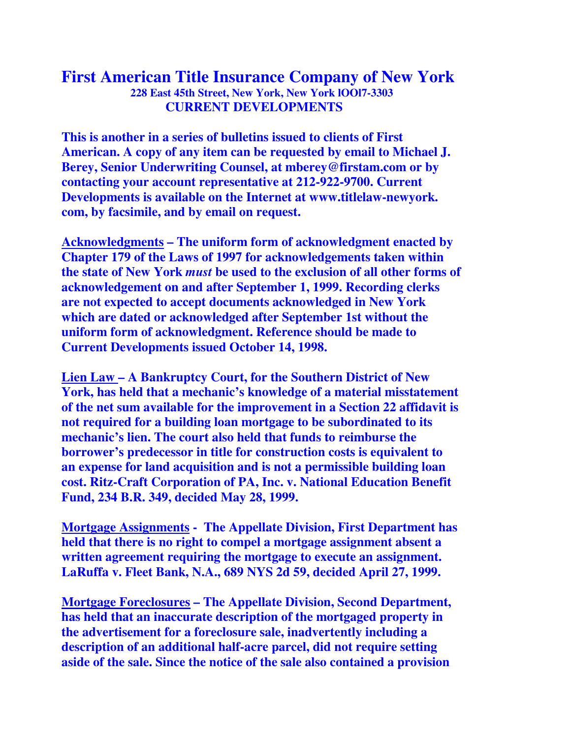## **First American Title Insurance Company of New York 228 East 45th Street, New York, New York lOOl7-3303 CURRENT DEVELOPMENTS**

**This is another in a series of bulletins issued to clients of First American. A copy of any item can be requested by email to Michael J. Berey, Senior Underwriting Counsel, at mberey@firstam.com or by contacting your account representative at 212-922-9700. Current Developments is available on the Internet at www.titlelaw-newyork. com, by facsimile, and by email on request.** 

**Acknowledgments – The uniform form of acknowledgment enacted by Chapter 179 of the Laws of 1997 for acknowledgements taken within the state of New York** *must* **be used to the exclusion of all other forms of acknowledgement on and after September 1, 1999. Recording clerks are not expected to accept documents acknowledged in New York which are dated or acknowledged after September 1st without the uniform form of acknowledgment. Reference should be made to Current Developments issued October 14, 1998.** 

**Lien Law – A Bankruptcy Court, for the Southern District of New York, has held that a mechanic's knowledge of a material misstatement of the net sum available for the improvement in a Section 22 affidavit is not required for a building loan mortgage to be subordinated to its mechanic's lien. The court also held that funds to reimburse the borrower's predecessor in title for construction costs is equivalent to an expense for land acquisition and is not a permissible building loan cost. Ritz-Craft Corporation of PA, Inc. v. National Education Benefit Fund, 234 B.R. 349, decided May 28, 1999.** 

**Mortgage Assignments - The Appellate Division, First Department has held that there is no right to compel a mortgage assignment absent a written agreement requiring the mortgage to execute an assignment. LaRuffa v. Fleet Bank, N.A., 689 NYS 2d 59, decided April 27, 1999.** 

**Mortgage Foreclosures – The Appellate Division, Second Department, has held that an inaccurate description of the mortgaged property in the advertisement for a foreclosure sale, inadvertently including a description of an additional half-acre parcel, did not require setting aside of the sale. Since the notice of the sale also contained a provision**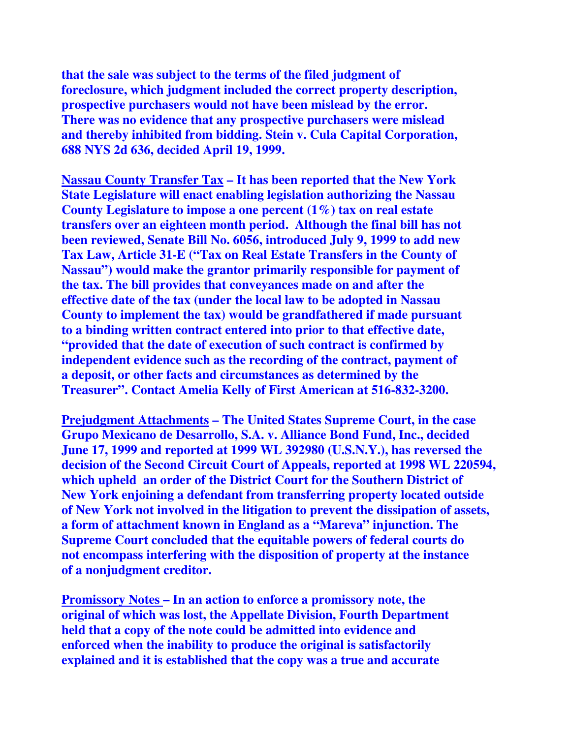**that the sale was subject to the terms of the filed judgment of foreclosure, which judgment included the correct property description, prospective purchasers would not have been mislead by the error. There was no evidence that any prospective purchasers were mislead and thereby inhibited from bidding. Stein v. Cula Capital Corporation, 688 NYS 2d 636, decided April 19, 1999.** 

**Nassau County Transfer Tax – It has been reported that the New York State Legislature will enact enabling legislation authorizing the Nassau County Legislature to impose a one percent (1%) tax on real estate transfers over an eighteen month period. Although the final bill has not been reviewed, Senate Bill No. 6056, introduced July 9, 1999 to add new Tax Law, Article 31-E ("Tax on Real Estate Transfers in the County of Nassau") would make the grantor primarily responsible for payment of the tax. The bill provides that conveyances made on and after the effective date of the tax (under the local law to be adopted in Nassau County to implement the tax) would be grandfathered if made pursuant to a binding written contract entered into prior to that effective date, "provided that the date of execution of such contract is confirmed by independent evidence such as the recording of the contract, payment of a deposit, or other facts and circumstances as determined by the Treasurer". Contact Amelia Kelly of First American at 516-832-3200.** 

**Prejudgment Attachments – The United States Supreme Court, in the case Grupo Mexicano de Desarrollo, S.A. v. Alliance Bond Fund, Inc., decided June 17, 1999 and reported at 1999 WL 392980 (U.S.N.Y.), has reversed the decision of the Second Circuit Court of Appeals, reported at 1998 WL 220594, which upheld an order of the District Court for the Southern District of New York enjoining a defendant from transferring property located outside of New York not involved in the litigation to prevent the dissipation of assets, a form of attachment known in England as a "Mareva" injunction. The Supreme Court concluded that the equitable powers of federal courts do not encompass interfering with the disposition of property at the instance of a nonjudgment creditor.** 

**Promissory Notes – In an action to enforce a promissory note, the original of which was lost, the Appellate Division, Fourth Department held that a copy of the note could be admitted into evidence and enforced when the inability to produce the original is satisfactorily explained and it is established that the copy was a true and accurate**